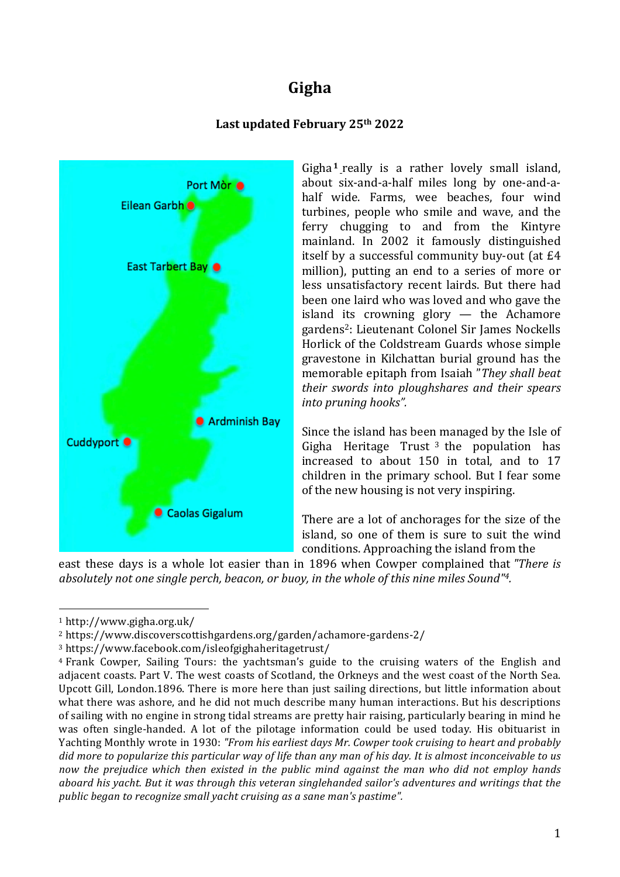# **Gigha**

## Last updated February 25<sup>th</sup> 2022



Gigha **<sup>1</sup>** really is a rather lovely small island, about six-and-a-half miles long by one-and-ahalf wide. Farms, wee beaches, four wind turbines, people who smile and wave, and the ferry chugging to and from the Kintyre mainland. In 2002 it famously distinguished itself by a successful community buy-out (at £4 million), putting an end to a series of more or less unsatisfactory recent lairds. But there had been one laird who was loved and who gave the island its crowning glory — the Achamore gardens2: Lieutenant Colonel Sir James Nockells Horlick of the Coldstream Guards whose simple gravestone in Kilchattan burial ground has the memorable epitaph from Isaiah "*They shall beat their swords into ploughshares and their spears into pruning hooks".*

Since the island has been managed by the Isle of Gigha Heritage Trust  $3$  the population has increased to about 150 in total, and to 17 children in the primary school. But I fear some of the new housing is not very inspiring.

There are a lot of anchorages for the size of the island, so one of them is sure to suit the wind conditions. Approaching the island from the

east these days is a whole lot easier than in 1896 when Cowper complained that *"There is absolutely not one single perch, beacon, or buoy, in the whole of this nine miles Sound"4.*

 

<sup>1</sup> http://www.gigha.org.uk/

<sup>2</sup> https://www.discoverscottishgardens.org/garden/achamore-gardens-2/

<sup>3</sup> https://www.facebook.com/isleofgighaheritagetrust/

<sup>&</sup>lt;sup>4</sup> Frank Cowper, Sailing Tours: the yachtsman's guide to the cruising waters of the English and adjacent coasts. Part V. The west coasts of Scotland, the Orkneys and the west coast of the North Sea. Upcott Gill, London.1896. There is more here than just sailing directions, but little information about what there was ashore, and he did not much describe many human interactions. But his descriptions of sailing with no engine in strong tidal streams are pretty hair raising, particularly bearing in mind he was often single-handed. A lot of the pilotage information could be used today. His obituarist in Yachting Monthly wrote in 1930: *"From his earliest days Mr. Cowper took cruising to heart and probably* did more to popularize this particular way of life than any man of his day. It is almost inconceivable to us *now the prejudice which then existed in the public mind against the man who did not employ hands aboard his yacht. But it was through this veteran singlehanded sailor's adventures and writings that the public began to recognize small yacht cruising as a sane man's pastime".*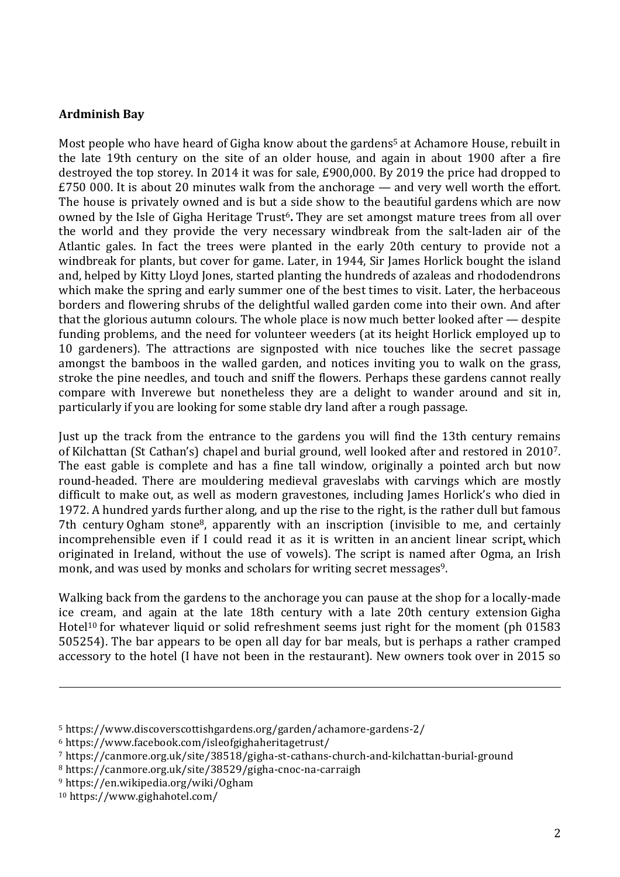## **Ardminish Bay**

Most people who have heard of Gigha know about the gardens<sup>5</sup> at Achamore House, rebuilt in the late 19th century on the site of an older house, and again in about 1900 after a fire destroyed the top storey. In 2014 it was for sale, £900,000. By 2019 the price had dropped to £750 000. It is about 20 minutes walk from the anchorage — and very well worth the effort. The house is privately owned and is but a side show to the beautiful gardens which are now owned by the Isle of Gigha Heritage Trust<sup>6</sup>. They are set amongst mature trees from all over the world and they provide the very necessary windbreak from the salt-laden air of the Atlantic gales. In fact the trees were planted in the early 20th century to provide not a windbreak for plants, but cover for game. Later, in 1944, Sir James Horlick bought the island and, helped by Kitty Lloyd Jones, started planting the hundreds of azaleas and rhododendrons which make the spring and early summer one of the best times to visit. Later, the herbaceous borders and flowering shrubs of the delightful walled garden come into their own. And after that the glorious autumn colours. The whole place is now much better looked after — despite funding problems, and the need for volunteer weeders (at its height Horlick employed up to 10 gardeners). The attractions are signposted with nice touches like the secret passage amongst the bamboos in the walled garden, and notices inviting you to walk on the grass, stroke the pine needles, and touch and sniff the flowers. Perhaps these gardens cannot really compare with Inverewe but nonetheless they are a delight to wander around and sit in, particularly if you are looking for some stable dry land after a rough passage.

Just up the track from the entrance to the gardens you will find the 13th century remains of Kilchattan (St Cathan's) chapel and burial ground, well looked after and restored in 20107. The east gable is complete and has a fine tall window, originally a pointed arch but now round-headed. There are mouldering medieval graveslabs with carvings which are mostly difficult to make out, as well as modern gravestones, including James Horlick's who died in 1972. A hundred yards further along, and up the rise to the right, is the rather dull but famous 7th century Ogham stone8, apparently with an inscription (invisible to me, and certainly incomprehensible even if I could read it as it is written in an ancient linear script, which originated in Ireland, without the use of vowels). The script is named after Ogma, an Irish monk, and was used by monks and scholars for writing secret messages<sup>9</sup>.

Walking back from the gardens to the anchorage you can pause at the shop for a locally-made ice cream, and again at the late 18th century with a late 20th century extension Gigha Hotel<sup>10</sup> for whatever liquid or solid refreshment seems just right for the moment (ph 01583 505254). The bar appears to be open all day for bar meals, but is perhaps a rather cramped accessory to the hotel (I have not been in the restaurant). New owners took over in 2015 so

<u> 1989 - Andrea San Andrea San Andrea San Andrea San Andrea San Andrea San Andrea San Andrea San Andrea San An</u>

<sup>5</sup> https://www.discoverscottishgardens.org/garden/achamore-gardens-2/

<sup>6</sup> https://www.facebook.com/isleofgighaheritagetrust/

<sup>7</sup> https://canmore.org.uk/site/38518/gigha-st-cathans-church-and-kilchattan-burial-ground

<sup>8</sup> https://canmore.org.uk/site/38529/gigha-cnoc-na-carraigh

<sup>9</sup> https://en.wikipedia.org/wiki/Ogham

<sup>10</sup> https://www.gighahotel.com/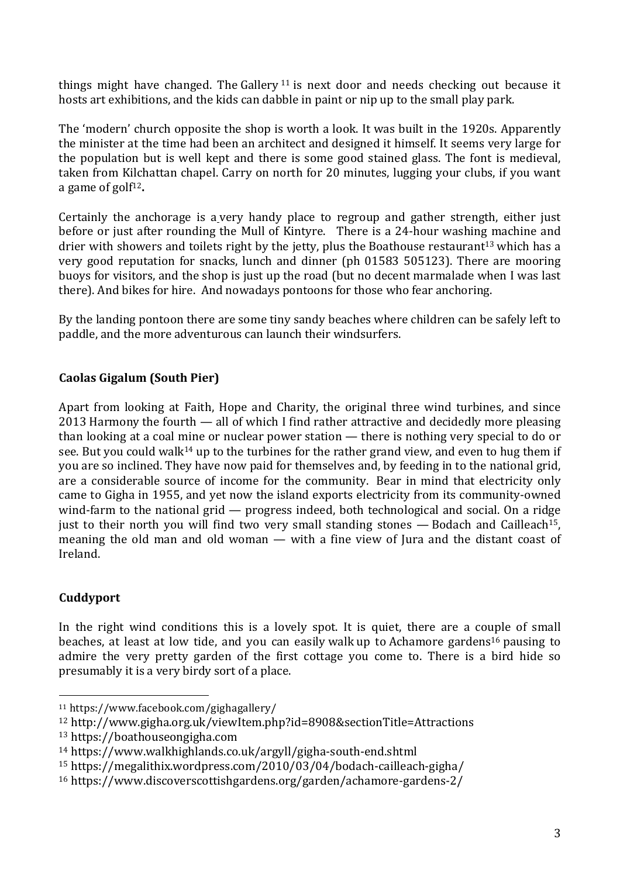things might have changed. The Gallery  $11$  is next door and needs checking out because it hosts art exhibitions, and the kids can dabble in paint or nip up to the small play park.

The 'modern' church opposite the shop is worth a look. It was built in the 1920s. Apparently the minister at the time had been an architect and designed it himself. It seems very large for the population but is well kept and there is some good stained glass. The font is medieval, taken from Kilchattan chapel. Carry on north for 20 minutes, lugging your clubs, if you want a game of golf12**.**

Certainly the anchorage is a very handy place to regroup and gather strength, either just before or just after rounding the Mull of Kintyre. There is a 24-hour washing machine and drier with showers and toilets right by the jetty, plus the Boathouse restaurant<sup>13</sup> which has a very good reputation for snacks, lunch and dinner (ph 01583 505123). There are mooring buoys for visitors, and the shop is just up the road (but no decent marmalade when I was last there). And bikes for hire. And nowadays pontoons for those who fear anchoring.

By the landing pontoon there are some tiny sandy beaches where children can be safely left to paddle, and the more adventurous can launch their windsurfers.

## **Caolas Gigalum (South Pier)**

Apart from looking at Faith, Hope and Charity, the original three wind turbines, and since 2013 Harmony the fourth — all of which I find rather attractive and decidedly more pleasing than looking at a coal mine or nuclear power station — there is nothing very special to do or see. But you could walk<sup>14</sup> up to the turbines for the rather grand view, and even to hug them if you are so inclined. They have now paid for themselves and, by feeding in to the national grid, are a considerable source of income for the community. Bear in mind that electricity only came to Gigha in 1955, and yet now the island exports electricity from its community-owned wind-farm to the national grid — progress indeed, both technological and social. On a ridge just to their north you will find two very small standing stones  $-$  Bodach and Cailleach<sup>15</sup>, meaning the old man and old woman — with a fine view of Jura and the distant coast of Ireland.

## **Cuddyport**

In the right wind conditions this is a lovely spot. It is quiet, there are a couple of small beaches, at least at low tide, and you can easily walk up to Achamore gardens<sup>16</sup> pausing to admire the very pretty garden of the first cottage you come to. There is a bird hide so presumably it is a very birdy sort of a place.

 

<sup>11</sup> https://www.facebook.com/gighagallery/

<sup>&</sup>lt;sup>12</sup> http://www.gigha.org.uk/viewItem.php?id=8908&sectionTitle=Attractions

<sup>13</sup> https://boathouseongigha.com

<sup>14</sup> https://www.walkhighlands.co.uk/argyll/gigha-south-end.shtml

<sup>15</sup> https://megalithix.wordpress.com/2010/03/04/bodach-cailleach-gigha/

<sup>16</sup> https://www.discoverscottishgardens.org/garden/achamore-gardens-2/